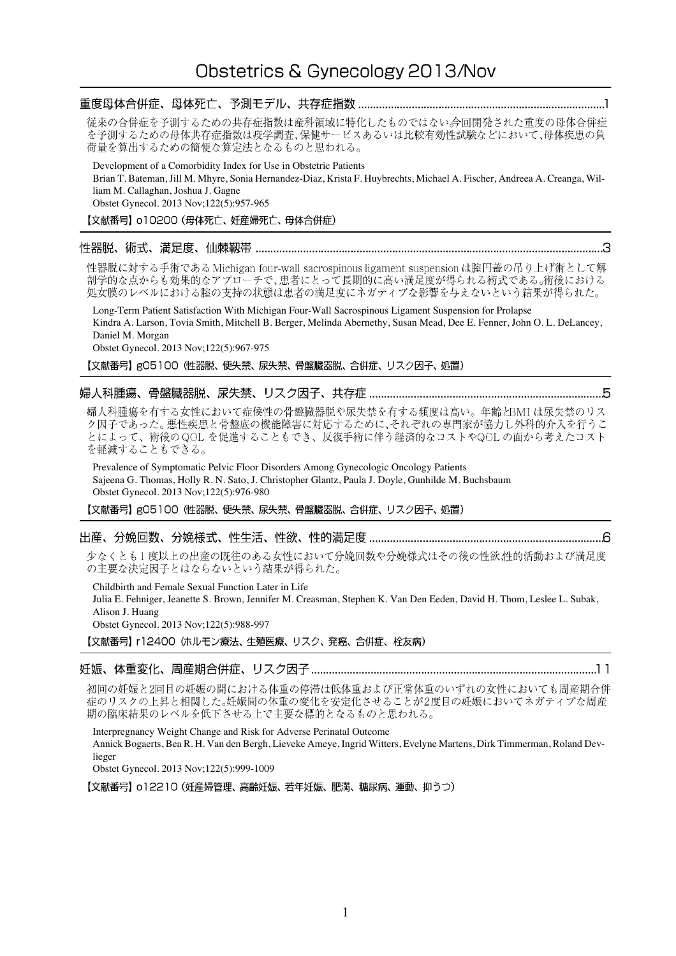# 従来の合併症を予測するための共存症指数は産科領域に特化したものではない合回開発された重度の母体合併症 を予測するための母体共存症指数は疫学調査、保健サービスあるいは比較有効性試験などにおいて、母体疾患の負 荷量を算出するための簡便な算定法となるものと思われる。 Development of a Comorbidity Index for Use in Obstetric Patients Brian T. Bateman, Jill M. Mhyre, Sonia Hernandez-Diaz, Krista F. Huybrechts, Michael A. Fischer, Andreea A. Creanga, William M. Callaghan, Joshua J. Gagne Obstet Gynecol. 2013 Nov;122(5):957-965 【文献番号】 o10200 (母体死亡、妊産婦死亡、母体合併症) 性器脱に対する手術である Michigan four-wall sacrospinous ligament suspension は腟円蓋の吊り上げ術として解 処女膜のレベルにおける腟の支持の状態は患者の満足度にネガティブな影響を与えないという結果が得られた。 Long-Term Patient Satisfaction With Michigan Four-Wall Sacrospinous Ligament Suspension for Prolapse

Kindra A. Larson, Tovia Smith, Mitchell B. Berger, Melinda Abernethy, Susan Mead, Dee E. Fenner, John O. L. DeLancey, Daniel M. Morgan

Obstet Gynecol. 2013 Nov;122(5):967-975

【文献番号】g05100 (性器脱、便失禁、尿失禁、骨盤臓器脱、合併症、リスク因子、処置)

# 

婦人科腫瘍を有する女性において症候性の骨盤臓器脱や尿失禁を有する頻度は高い。年齢とBMIは尿失禁のリス ク因子であった。悪性疾患と骨盤底の機能障害に対応するために、それぞれの専門家が協力し外科的介入を行うこ とによって、術後の QOL を促進することもでき、反復手術に伴う経済的なコストやQOL の面から考えたコスト を軽減することもできる。

Prevalence of Symptomatic Pelvic Floor Disorders Among Gynecologic Oncology Patients Sajeena G. Thomas, Holly R. N. Sato, J. Christopher Glantz, Paula J. Doyle, Gunhilde M. Buchsbaum Obstet Gynecol. 2013 Nov;122(5):976-980

【文献番号】g05100 (性器脱、便失禁、尿失禁、骨盤臓器脱、合併症、リスク因子、処置)

### 

少なくとも1度以上の出産の既往のある女性において分娩回数や分娩様式はその後の性欲性的活動および満足度 の主要な決定因子とはならないという結果が得られた。

Childbirth and Female Sexual Function Later in Life

Julia E. Fehniger, Jeanette S. Brown, Jennifer M. Creasman, Stephen K. Van Den Eeden, David H. Thom, Leslee L. Subak, Alison J. Huang

Obstet Gynecol. 2013 Nov;122(5):988-997

【文献番号】 r12400 (ホルモン療法、生殖医療、リスク、発癌、合併症、栓友病)

# 

初回の妊娠と2回目の妊娠の間における体重の停滞は低体重および正常体重のいずれの女性においても周産期合併 症のリスクの上昇と相関した。妊娠間の体重の変化を安定化させることが2度目の妊娠においてネガティブな周産 期の臨床結果のレベルを低下させる上で主要な標的となるものと思われる。

Interpregnancy Weight Change and Risk for Adverse Perinatal Outcome Annick Bogaerts, Bea R. H. Van den Bergh, Lieveke Ameye, Ingrid Witters, Evelyne Martens, Dirk Timmerman, Roland Devlieger

Obstet Gynecol. 2013 Nov;122(5):999-1009

【文献番号】 o12210 (妊産婦管理、高齢妊娠、若年妊娠、肥満、糖尿病、運動、抑うつ)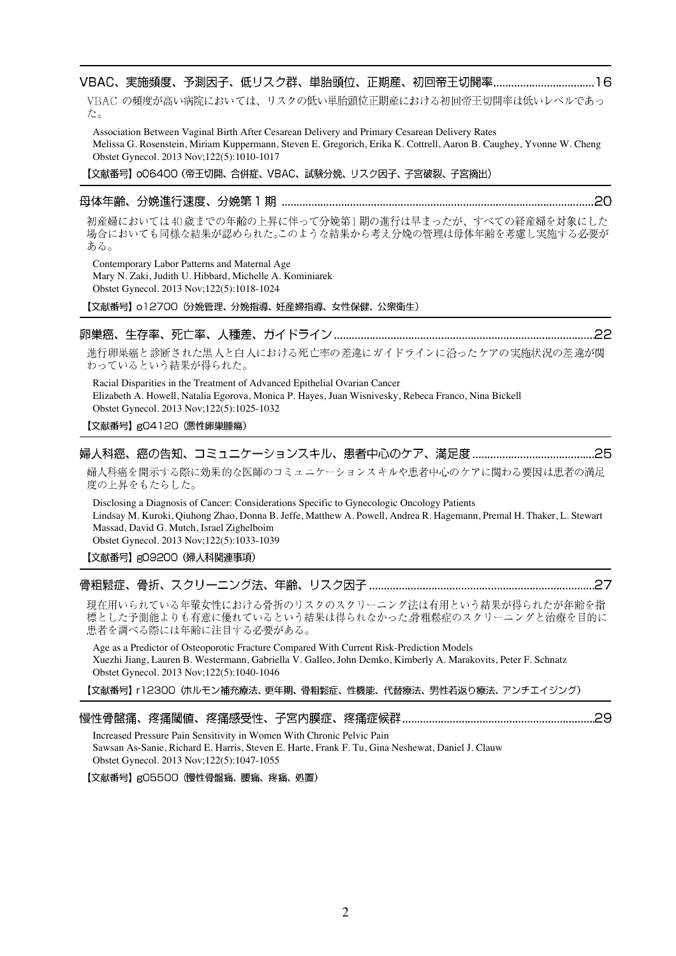## 

VBAC の頻度が高い病院においては、リスクの低い単胎頭位正期産における初回帝王切開率は低いレベルであっ た。

Association Between Vaginal Birth After Cesarean Delivery and Primary Cesarean Delivery Rates Melissa G. Rosenstein, Miriam Kuppermann, Steven E. Gregorich, Erika K. Cottrell, Aaron B. Caughey, Yvonne W. Cheng Obstet Gynecol. 2013 Nov;122(5):1010-1017

【文献番号】 oO6400 (帝王切開、合併症、VBAC、試験分娩、リスク因子、子宮破裂、子宮摘出)

### 

初産婦においては40歳までの年齢の上昇に伴って分娩第1期の進行は早まったが、すべての経産婦を対象にした 場合においても同様な結果が認められた。このような結果から考え分娩の管理は母体年齢を考慮し実施する必要が ある。

Contemporary Labor Patterns and Maternal Age Mary N. Zaki, Judith U. Hibbard, Michelle A. Kominiarek Obstet Gynecol. 2013 Nov;122(5):1018-1024

【文献番号】 o12700 份娩管理、分娩指導、妊産婦指導、女性保健、公衆衛生)

# 

進行卵巣癌と診断された黒人と白人における死亡率の差違にガイドラインに沿ったケアの実施状況の差違が関 わっているという結果が得られた。

Racial Disparities in the Treatment of Advanced Epithelial Ovarian Cancer Elizabeth A. Howell, Natalia Egorova, Monica P. Hayes, Juan Wisnivesky, Rebeca Franco, Nina Bickell Obstet Gynecol. 2013 Nov;122(5):1025-1032

【文献番号】gO4120 (悪性卵巣腫瘍)

# 

婦人科癌を開示する際に効果的な医師のコミュニケーションスキルや患者中心のケアに関わる要因は患者の満足 度の上昇をもたらした。

Disclosing a Diagnosis of Cancer: Considerations Specific to Gynecologic Oncology Patients Lindsay M. Kuroki, Qiuhong Zhao, Donna B. Jeffe, Matthew A. Powell, Andrea R. Hagemann, Premal H. Thaker, L. Stewart Massad, David G. Mutch, Israel Zighelboim Obstet Gynecol. 2013 Nov;122(5):1033-1039

【文献番号】g09200 (婦人科関連事項)

#### 

現在用いられている年輩女性における骨折のリスクのスクリーニング法は有用という結果が得られたが年齢を指 標とした予測能よりも有意に優れているという結果は得られなかった。骨粗鬆症のスクリーニングと治療を目的に 患者を調べる際には年齢に注目する必要がある。

Age as a Predictor of Osteoporotic Fracture Compared With Current Risk-Prediction Models Xuezhi Jiang, Lauren B. Westermann, Gabriella V. Galleo, John Demko, Kimberly A. Marakovits, Peter F. Schnatz Obstet Gynecol. 2013 Nov;122(5):1040-1046

【文献番号】 r12300 (ホルモン補充療法、更年期、骨粗鬆症、性機能、代替療法、男性若返り療法、アンチエイジング)

|--|--|

Increased Pressure Pain Sensitivity in Women With Chronic Pelvic Pain Sawsan As-Sanie, Richard E. Harris, Steven E. Harte, Frank F. Tu, Gina Neshewat, Daniel J. Clauw Obstet Gynecol. 2013 Nov;122(5):1047-1055

【文献番号】gO5500 (慢性骨盤痛、腰痛、疼痛、処置)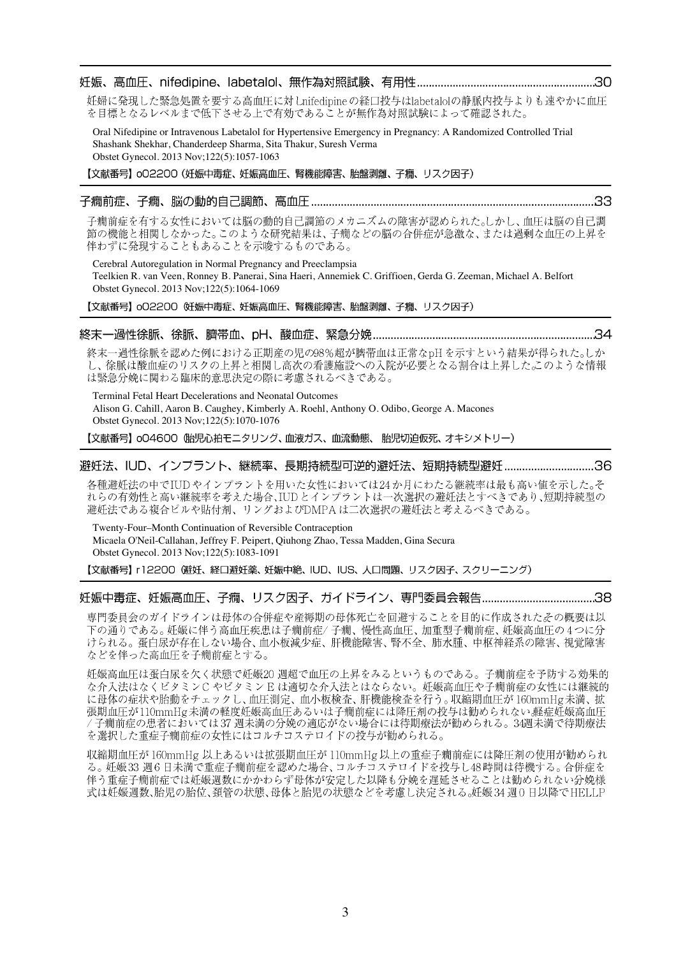#### 妊娠、高血圧、nifedipine、labetalol、無作為対照試験、有用性 ……………………………………………………30

妊婦に発現した緊急処置を要する高血圧に対しnifedipineの経口投与はlabetalolの静脈内投与よりも速やかに血圧 を目標となるレベルまで低下させる上で有効であることが無作為対照試験によって確認された。

Oral Nifedipine or Intravenous Labetalol for Hypertensive Emergency in Pregnancy: A Randomized Controlled Trial Shashank Shekhar, Chanderdeep Sharma, Sita Thakur, Suresh Verma Obstet Gynecol. 2013 Nov:122(5):1057-1063

【文献番号】o02200 (妊娠中毒症、妊娠高血圧、腎機能障害、胎盤剥離、子癇、リスク因子)

#### 

子癇前症を有する女性においては脳の動的自己調節のメカニズムの障害が認められた。しかし、血圧は脳の自己調 節の機能と相関しなかった。このような研究結果は、子癇などの脳の合併症が急激な、または過剰な血圧の上昇を 伴わずに発現することもあることを示唆するものである。

Cerebral Autoregulation in Normal Pregnancy and Preeclampsia Teelkien R. van Veen, Ronney B. Panerai, Sina Haeri, Annemiek C. Griffioen, Gerda G. Zeeman, Michael A. Belfort Obstet Gynecol. 2013 Nov;122(5):1064-1069

【文献番号】 002200 妊娠中毒症、妊娠高血圧、腎機能障害、胎盤剥離、子癇、リスク因子)

#### 

終末一過性徐脈を認めた例における正期産の児の98%超が臍帯血は正常なpHを示すという結果が得られた。しか し、徐脈は酸血症のリスクの上昇と相関し高次の看護施設への入院が必要となる割合は上昇したこのような情報 は緊急分娩に関わる臨床的意思決定の際に考慮されるべきである。

Terminal Fetal Heart Decelerations and Neonatal Outcomes Alison G. Cahill, Aaron B. Caughey, Kimberly A. Roehl, Anthony O. Odibo, George A. Macones Obstet Gynecol. 2013 Nov:122(5):1070-1076

### 避妊法、IUD、インプラント、継続率、長期持続型可逆的避妊法、短期持続型避妊 ...............................36

各種避妊法の中でIUDやインプラントを用いた女性においては24か月にわたる継続率は最も高い値を示した。そ 

Twenty-Four-Month Continuation of Reversible Contraception Micaela O'Neil-Callahan, Jeffrey F. Peipert, Qiuhong Zhao, Tessa Madden, Gina Secura Obstet Gynecol. 2013 Nov;122(5):1083-1091

【文献番号】 r12200 健妊、経口避妊薬、妊娠中絶、IUD、IUS、人口問題、リスク因子、スクリーニング)

### 

専門委員会のガイドラインは母体の合併症や産褥期の母体死亡を回避することを目的に作成されたその概要は以 下の通りである。妊娠に伴う高血圧疾患は子癇前症/子癇、慢性高血圧、加重型子癇前症、妊娠高血圧の4つに分 けられる。蛋白尿が存在しない場合、血小板減少症、肝機能障害、腎不全、肺水腫、中枢神経系の障害、視覚障害 などを伴った高血圧を子癇前症とする。

妊娠高血圧は蛋白尿を欠く状態で妊娠20 週超で血圧の上昇をみるというものである。子癇前症を予防する効果的 な介入法はなくビタミンC やビタミンE は適切な介入法とはならない。妊娠高血圧や子癇前症の女性には継続的 に母体の症状や胎動をチェックし、血圧測定、血小板検査、肝機能検査を行う。収縮期血圧が160mmHg未満、拡 張期血圧が110mmHg未満の軽度妊娠高血圧あるいは子癇前症には降圧剤の投与は勧められない、軽症妊娠高血圧 /子癇前症の患者においては37週未満の分娩の適応がない場合には待期療法が勧められる。34週未満で待期療法 を選択した重症子癇前症の女性にはコルチコステロイドの投与が勧められる。

収縮期血圧が160mmHg以上あるいは拡張期血圧が110mmHg以上の重症子癇前症には降圧剤の使用が勧められ る。妊娠33週6日未満で重症子癇前症を認めた場合、コルチコステロイドを投与し48時間は待機する。合併症を 伴う重症子癇前症では妊娠週数にかかわらず母体が安定した以降も分娩を遅延させることは勧められない分娩様 式は妊娠週数、胎児の胎位、頚管の状態、母体と胎児の状態などを考慮し決定される。妊娠34週0日以降でHELLP